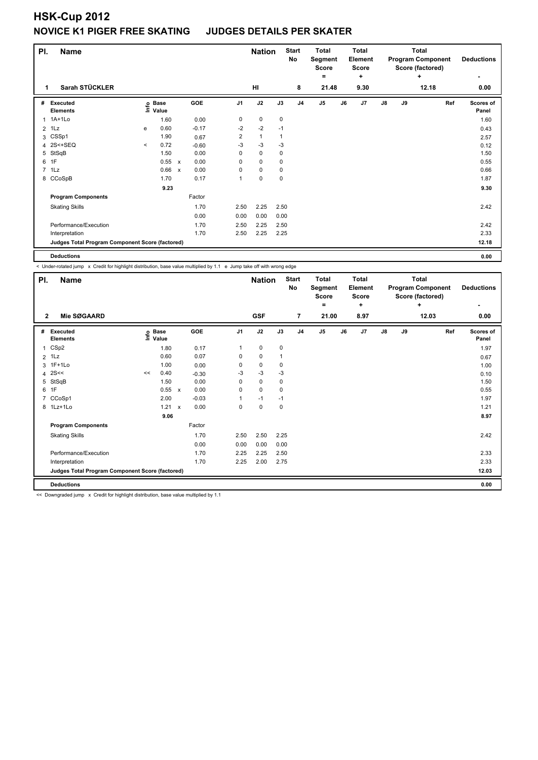| PI.            | <b>Name</b>                                     |          |                      |              |         |                | <b>Nation</b> |              | <b>Start</b><br>No | <b>Total</b><br>Segment<br><b>Score</b><br>= |    | <b>Total</b><br>Element<br><b>Score</b><br>÷ |               |    | <b>Total</b><br><b>Program Component</b><br>Score (factored)<br>٠ | <b>Deductions</b>         |
|----------------|-------------------------------------------------|----------|----------------------|--------------|---------|----------------|---------------|--------------|--------------------|----------------------------------------------|----|----------------------------------------------|---------------|----|-------------------------------------------------------------------|---------------------------|
| 1              | Sarah STÜCKLER                                  |          |                      |              |         |                | HI            |              | 8                  | 21.48                                        |    | 9.30                                         |               |    | 12.18                                                             | 0.00                      |
| #              | <b>Executed</b><br><b>Elements</b>              | ۴ô       | <b>Base</b><br>Value |              | GOE     | J <sub>1</sub> | J2            | J3           | J <sub>4</sub>     | J <sub>5</sub>                               | J6 | J <sub>7</sub>                               | $\mathsf{J}8$ | J9 | Ref                                                               | <b>Scores of</b><br>Panel |
| 1              | $1A+1Lo$                                        |          | 1.60                 |              | 0.00    | 0              | $\mathbf 0$   | 0            |                    |                                              |    |                                              |               |    |                                                                   | 1.60                      |
| $\overline{2}$ | 1Lz                                             | e        | 0.60                 |              | $-0.17$ | $-2$           | $-2$          | $-1$         |                    |                                              |    |                                              |               |    |                                                                   | 0.43                      |
| 3              | CSSp1                                           |          | 1.90                 |              | 0.67    | $\overline{2}$ | $\mathbf{1}$  | $\mathbf{1}$ |                    |                                              |    |                                              |               |    |                                                                   | 2.57                      |
| 4              | 2S<+SEQ                                         | $\hat{}$ | 0.72                 |              | $-0.60$ | $-3$           | $-3$          | $-3$         |                    |                                              |    |                                              |               |    |                                                                   | 0.12                      |
| 5              | StSqB                                           |          | 1.50                 |              | 0.00    | 0              | $\mathbf 0$   | 0            |                    |                                              |    |                                              |               |    |                                                                   | 1.50                      |
| 6              | 1F                                              |          | 0.55                 | $\mathsf{x}$ | 0.00    | 0              | 0             | 0            |                    |                                              |    |                                              |               |    |                                                                   | 0.55                      |
|                | 7 1Lz                                           |          | 0.66                 | $\mathsf{x}$ | 0.00    | 0              | $\mathbf 0$   | $\mathbf 0$  |                    |                                              |    |                                              |               |    |                                                                   | 0.66                      |
|                | 8 CCoSpB                                        |          | 1.70                 |              | 0.17    | 1              | $\pmb{0}$     | 0            |                    |                                              |    |                                              |               |    |                                                                   | 1.87                      |
|                |                                                 |          | 9.23                 |              |         |                |               |              |                    |                                              |    |                                              |               |    |                                                                   | 9.30                      |
|                | <b>Program Components</b>                       |          |                      |              | Factor  |                |               |              |                    |                                              |    |                                              |               |    |                                                                   |                           |
|                | <b>Skating Skills</b>                           |          |                      |              | 1.70    | 2.50           | 2.25          | 2.50         |                    |                                              |    |                                              |               |    |                                                                   | 2.42                      |
|                |                                                 |          |                      |              | 0.00    | 0.00           | 0.00          | 0.00         |                    |                                              |    |                                              |               |    |                                                                   |                           |
|                | Performance/Execution                           |          |                      |              | 1.70    | 2.50           | 2.25          | 2.50         |                    |                                              |    |                                              |               |    |                                                                   | 2.42                      |
|                | Interpretation                                  |          |                      |              | 1.70    | 2.50           | 2.25          | 2.25         |                    |                                              |    |                                              |               |    |                                                                   | 2.33                      |
|                | Judges Total Program Component Score (factored) |          |                      |              |         |                |               |              |                    |                                              |    |                                              |               |    |                                                                   | 12.18                     |
|                |                                                 |          |                      |              |         |                |               |              |                    |                                              |    |                                              |               |    |                                                                   |                           |

**Deductions 0.00**

< Under-rotated jump x Credit for highlight distribution, base value multiplied by 1.1 e Jump take off with wrong edge

| PI.            | <b>Name</b>                                     |    |                   | <b>Nation</b>             |            | <b>Start</b><br>No | <b>Total</b><br>Segment<br><b>Score</b><br>٠ |      | <b>Total</b><br>Element<br><b>Score</b><br>÷ |       |    | <b>Total</b><br><b>Program Component</b><br>Score (factored)<br>٠ | <b>Deductions</b><br>$\overline{\phantom{0}}$ |    |       |                           |
|----------------|-------------------------------------------------|----|-------------------|---------------------------|------------|--------------------|----------------------------------------------|------|----------------------------------------------|-------|----|-------------------------------------------------------------------|-----------------------------------------------|----|-------|---------------------------|
| $\overline{2}$ | Mie SØGAARD                                     |    |                   |                           |            |                    | <b>GSF</b>                                   |      | $\overline{7}$                               | 21.00 |    | 8.97                                                              |                                               |    | 12.03 | 0.00                      |
| #              | <b>Executed</b><br><b>Elements</b>              |    | e Base<br>⊆ Value |                           | <b>GOE</b> | J <sub>1</sub>     | J2                                           | J3   | J <sub>4</sub>                               | J5    | J6 | J <sub>7</sub>                                                    | $\mathsf{J}8$                                 | J9 | Ref   | <b>Scores of</b><br>Panel |
| $\mathbf{1}$   | CSp2                                            |    | 1.80              |                           | 0.17       | 1                  | $\mathbf 0$                                  | 0    |                                              |       |    |                                                                   |                                               |    |       | 1.97                      |
|                | $2$ 1 Lz                                        |    | 0.60              |                           | 0.07       | 0                  | $\mathbf 0$                                  | 1    |                                              |       |    |                                                                   |                                               |    |       | 0.67                      |
| 3              | $1F+1Lo$                                        |    | 1.00              |                           | 0.00       | 0                  | $\mathbf 0$                                  | 0    |                                              |       |    |                                                                   |                                               |    |       | 1.00                      |
| 4              | 2S<<                                            | << | 0.40              |                           | $-0.30$    | $-3$               | $-3$                                         | $-3$ |                                              |       |    |                                                                   |                                               |    |       | 0.10                      |
| 5              | StSqB                                           |    | 1.50              |                           | 0.00       | 0                  | $\mathbf 0$                                  | 0    |                                              |       |    |                                                                   |                                               |    |       | 1.50                      |
|                | 6 1F                                            |    | 0.55              | $\mathsf{x}$              | 0.00       | 0                  | $\mathbf 0$                                  | 0    |                                              |       |    |                                                                   |                                               |    |       | 0.55                      |
| 7              | CCoSp1                                          |    | 2.00              |                           | $-0.03$    | 1                  | $-1$                                         | $-1$ |                                              |       |    |                                                                   |                                               |    |       | 1.97                      |
|                | 8 1Lz+1Lo                                       |    | 1.21              | $\boldsymbol{\mathsf{x}}$ | 0.00       | 0                  | $\mathbf 0$                                  | 0    |                                              |       |    |                                                                   |                                               |    |       | 1.21                      |
|                |                                                 |    | 9.06              |                           |            |                    |                                              |      |                                              |       |    |                                                                   |                                               |    |       | 8.97                      |
|                | <b>Program Components</b>                       |    |                   |                           | Factor     |                    |                                              |      |                                              |       |    |                                                                   |                                               |    |       |                           |
|                | <b>Skating Skills</b>                           |    |                   |                           | 1.70       | 2.50               | 2.50                                         | 2.25 |                                              |       |    |                                                                   |                                               |    |       | 2.42                      |
|                |                                                 |    |                   |                           | 0.00       | 0.00               | 0.00                                         | 0.00 |                                              |       |    |                                                                   |                                               |    |       |                           |
|                | Performance/Execution                           |    |                   |                           | 1.70       | 2.25               | 2.25                                         | 2.50 |                                              |       |    |                                                                   |                                               |    |       | 2.33                      |
|                | Interpretation                                  |    |                   |                           | 1.70       | 2.25               | 2.00                                         | 2.75 |                                              |       |    |                                                                   |                                               |    |       | 2.33                      |
|                | Judges Total Program Component Score (factored) |    |                   |                           |            |                    |                                              |      |                                              |       |    |                                                                   |                                               |    |       | 12.03                     |
|                | <b>Deductions</b>                               |    |                   |                           |            |                    |                                              |      |                                              |       |    |                                                                   |                                               |    |       | 0.00                      |

<< Downgraded jump x Credit for highlight distribution, base value multiplied by 1.1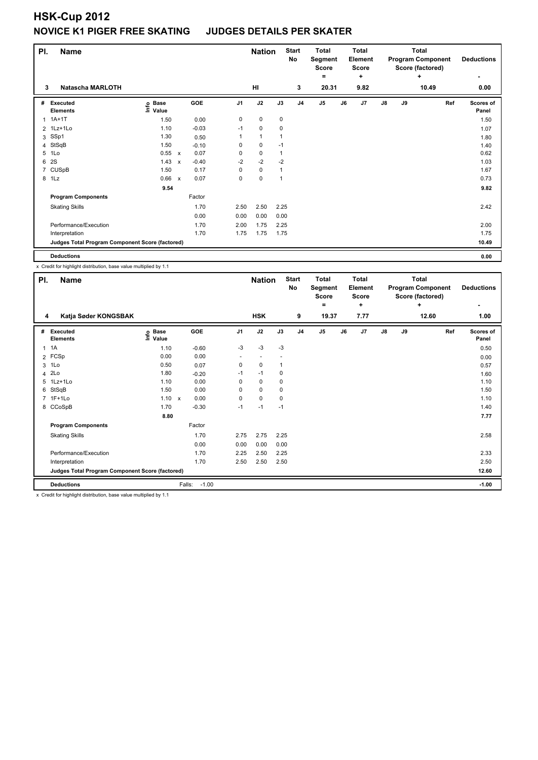| PI.   | <b>Name</b>                                     |                                           |                           |         |                | <b>Nation</b> |              | <b>Start</b><br><b>No</b> | <b>Total</b><br>Segment<br><b>Score</b><br>۰ |    | <b>Total</b><br>Element<br><b>Score</b><br>÷ |               |    | <b>Total</b><br><b>Program Component</b><br>Score (factored)<br>÷ | <b>Deductions</b><br>٠    |
|-------|-------------------------------------------------|-------------------------------------------|---------------------------|---------|----------------|---------------|--------------|---------------------------|----------------------------------------------|----|----------------------------------------------|---------------|----|-------------------------------------------------------------------|---------------------------|
| 3     | <b>Natascha MARLOTH</b>                         |                                           |                           |         |                | HI            |              | 3                         | 20.31                                        |    | 9.82                                         |               |    | 10.49                                                             | 0.00                      |
| #     | Executed<br><b>Elements</b>                     | <b>Base</b><br>$\circ$<br>$\bar{z}$ Value |                           | GOE     | J <sub>1</sub> | J2            | J3           | J4                        | J5                                           | J6 | J7                                           | $\mathsf{J}8$ | J9 | Ref                                                               | <b>Scores of</b><br>Panel |
| 1     | $1A+1T$                                         | 1.50                                      |                           | 0.00    | $\pmb{0}$      | $\mathbf 0$   | $\pmb{0}$    |                           |                                              |    |                                              |               |    |                                                                   | 1.50                      |
|       | 2 1Lz+1Lo                                       | 1.10                                      |                           | $-0.03$ | $-1$           | $\mathbf 0$   | 0            |                           |                                              |    |                                              |               |    |                                                                   | 1.07                      |
| 3     | SSp1                                            | 1.30                                      |                           | 0.50    |                | $\mathbf{1}$  | $\mathbf{1}$ |                           |                                              |    |                                              |               |    |                                                                   | 1.80                      |
|       | 4 StSqB                                         | 1.50                                      |                           | $-0.10$ | 0              | $\mathbf 0$   | $-1$         |                           |                                              |    |                                              |               |    |                                                                   | 1.40                      |
| 5     | 1Lo                                             | 0.55                                      | $\mathsf{x}$              | 0.07    | 0              | $\pmb{0}$     | $\mathbf{1}$ |                           |                                              |    |                                              |               |    |                                                                   | 0.62                      |
| 6     | 2S                                              | 1.43                                      | $\boldsymbol{\mathsf{x}}$ | $-0.40$ | $-2$           | $-2$          | $-2$         |                           |                                              |    |                                              |               |    |                                                                   | 1.03                      |
|       | 7 CUSpB                                         | 1.50                                      |                           | 0.17    | 0              | $\pmb{0}$     | $\mathbf{1}$ |                           |                                              |    |                                              |               |    |                                                                   | 1.67                      |
| 8 1Lz |                                                 | 0.66                                      | $\mathsf{x}$              | 0.07    | $\mathbf 0$    | $\mathbf 0$   | $\mathbf{1}$ |                           |                                              |    |                                              |               |    |                                                                   | 0.73                      |
|       |                                                 | 9.54                                      |                           |         |                |               |              |                           |                                              |    |                                              |               |    |                                                                   | 9.82                      |
|       | <b>Program Components</b>                       |                                           |                           | Factor  |                |               |              |                           |                                              |    |                                              |               |    |                                                                   |                           |
|       | <b>Skating Skills</b>                           |                                           |                           | 1.70    | 2.50           | 2.50          | 2.25         |                           |                                              |    |                                              |               |    |                                                                   | 2.42                      |
|       |                                                 |                                           |                           | 0.00    | 0.00           | 0.00          | 0.00         |                           |                                              |    |                                              |               |    |                                                                   |                           |
|       | Performance/Execution                           |                                           |                           | 1.70    | 2.00           | 1.75          | 2.25         |                           |                                              |    |                                              |               |    |                                                                   | 2.00                      |
|       | Interpretation                                  |                                           |                           | 1.70    | 1.75           | 1.75          | 1.75         |                           |                                              |    |                                              |               |    |                                                                   | 1.75                      |
|       | Judges Total Program Component Score (factored) |                                           |                           |         |                |               |              |                           |                                              |    |                                              |               |    |                                                                   | 10.49                     |
|       | <b>Deductions</b>                               |                                           |                           |         |                |               |              |                           |                                              |    |                                              |               |    |                                                                   | 0.00                      |

x Credit for highlight distribution, base value multiplied by 1.1

| PI.          | <b>Name</b>                                     |                            | <b>Nation</b>                     |                | <b>Start</b><br>No | <b>Total</b><br>Segment<br><b>Score</b> |                | Total<br>Element<br><b>Score</b> | <b>Total</b><br><b>Program Component</b><br>Score (factored)<br>÷ |      |               | <b>Deductions</b> |       |                    |
|--------------|-------------------------------------------------|----------------------------|-----------------------------------|----------------|--------------------|-----------------------------------------|----------------|----------------------------------|-------------------------------------------------------------------|------|---------------|-------------------|-------|--------------------|
|              |                                                 |                            |                                   |                |                    |                                         |                | =                                |                                                                   | ٠    |               |                   |       |                    |
| 4            | Katja Søder KONGSBAK                            |                            |                                   |                | <b>HSK</b>         |                                         | 9              | 19.37                            |                                                                   | 7.77 |               |                   | 12.60 | 1.00               |
| #            | Executed<br><b>Elements</b>                     | e Base<br>⊆ Value<br>Value | GOE                               | J <sub>1</sub> | J2                 | J3                                      | J <sub>4</sub> | J5                               | J6                                                                | J7   | $\mathsf{J}8$ | J9                | Ref   | Scores of<br>Panel |
| $\mathbf{1}$ | 1A                                              | 1.10                       | $-0.60$                           | $-3$           | $-3$               | $-3$                                    |                |                                  |                                                                   |      |               |                   |       | 0.50               |
|              | 2 FCSp                                          | 0.00                       | 0.00                              | ٠              |                    |                                         |                |                                  |                                                                   |      |               |                   |       | 0.00               |
|              | 3 1Lo                                           | 0.50                       | 0.07                              | 0              | 0                  | 1                                       |                |                                  |                                                                   |      |               |                   |       | 0.57               |
|              | 4 2Lo                                           | 1.80                       | $-0.20$                           | $-1$           | $-1$               | 0                                       |                |                                  |                                                                   |      |               |                   |       | 1.60               |
|              | 5 1Lz+1Lo                                       | 1.10                       | 0.00                              | 0              | $\mathbf 0$        | $\mathbf 0$                             |                |                                  |                                                                   |      |               |                   |       | 1.10               |
|              | 6 StSqB                                         | 1.50                       | 0.00                              | 0              | $\mathbf 0$        | 0                                       |                |                                  |                                                                   |      |               |                   |       | 1.50               |
|              | 7 1F+1Lo                                        | 1.10                       | 0.00<br>$\boldsymbol{\mathsf{x}}$ | 0              | $\pmb{0}$          | 0                                       |                |                                  |                                                                   |      |               |                   |       | 1.10               |
|              | 8 CCoSpB                                        | 1.70                       | $-0.30$                           | $-1$           | $-1$               | $-1$                                    |                |                                  |                                                                   |      |               |                   |       | 1.40               |
|              |                                                 | 8.80                       |                                   |                |                    |                                         |                |                                  |                                                                   |      |               |                   |       | 7.77               |
|              | <b>Program Components</b>                       |                            | Factor                            |                |                    |                                         |                |                                  |                                                                   |      |               |                   |       |                    |
|              | <b>Skating Skills</b>                           |                            | 1.70                              | 2.75           | 2.75               | 2.25                                    |                |                                  |                                                                   |      |               |                   |       | 2.58               |
|              |                                                 |                            | 0.00                              | 0.00           | 0.00               | 0.00                                    |                |                                  |                                                                   |      |               |                   |       |                    |
|              | Performance/Execution                           |                            | 1.70                              | 2.25           | 2.50               | 2.25                                    |                |                                  |                                                                   |      |               |                   |       | 2.33               |
|              | Interpretation                                  |                            | 1.70                              | 2.50           | 2.50               | 2.50                                    |                |                                  |                                                                   |      |               |                   |       | 2.50               |
|              | Judges Total Program Component Score (factored) |                            |                                   |                |                    |                                         |                |                                  |                                                                   |      |               |                   |       | 12.60              |
|              | <b>Deductions</b>                               |                            | $-1.00$<br>Falls:                 |                |                    |                                         |                |                                  |                                                                   |      |               |                   |       | $-1.00$            |

x Credit for highlight distribution, base value multiplied by 1.1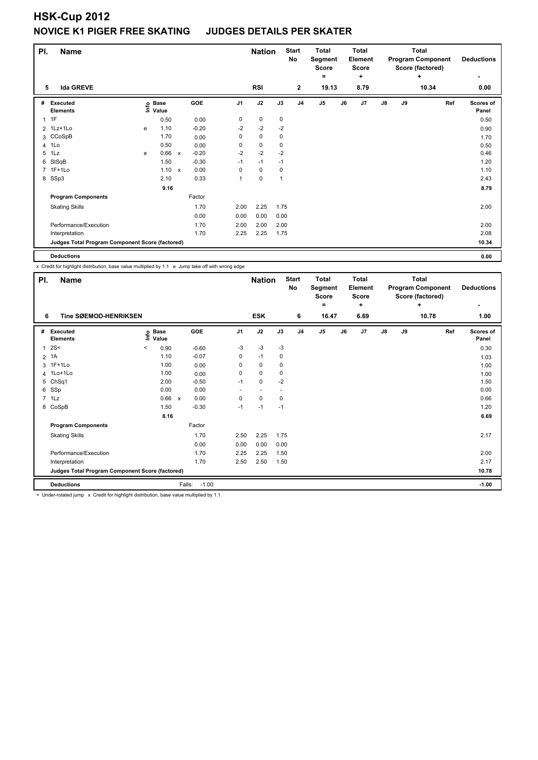| PI.            | <b>Name</b>                                     |   |                                  |              |            |                | <b>Nation</b> |             | <b>Start</b><br>No | <b>Total</b><br>Segment<br><b>Score</b><br>۰ |    | Total<br>Element<br><b>Score</b><br>٠ | <b>Total</b><br><b>Program Component</b><br>Score (factored)<br>٠ |    |       | <b>Deductions</b><br>٠ |
|----------------|-------------------------------------------------|---|----------------------------------|--------------|------------|----------------|---------------|-------------|--------------------|----------------------------------------------|----|---------------------------------------|-------------------------------------------------------------------|----|-------|------------------------|
| 5              | <b>Ida GREVE</b>                                |   |                                  |              |            |                | <b>RSI</b>    |             | $\overline{2}$     | 19.13                                        |    | 8.79                                  |                                                                   |    | 10.34 | 0.00                   |
| #              | Executed<br><b>Elements</b>                     |   | <b>Base</b><br>e Base<br>⊑ Value |              | <b>GOE</b> | J <sub>1</sub> | J2            | J3          | J <sub>4</sub>     | J <sub>5</sub>                               | J6 | J <sub>7</sub>                        | $\mathsf{J}8$                                                     | J9 | Ref   | Scores of<br>Panel     |
| $\overline{1}$ | 1F                                              |   | 0.50                             |              | 0.00       | 0              | 0             | 0           |                    |                                              |    |                                       |                                                                   |    |       | 0.50                   |
|                | 2 1Lz+1Lo                                       | e | 1.10                             |              | $-0.20$    | $-2$           | $-2$          | $-2$        |                    |                                              |    |                                       |                                                                   |    |       | 0.90                   |
|                | 3 CCoSpB                                        |   | 1.70                             |              | 0.00       | 0              | $\mathbf 0$   | 0           |                    |                                              |    |                                       |                                                                   |    |       | 1.70                   |
| $\overline{4}$ | 1Lo                                             |   | 0.50                             |              | 0.00       | 0              | $\pmb{0}$     | $\mathbf 0$ |                    |                                              |    |                                       |                                                                   |    |       | 0.50                   |
| 5              | 1Lz                                             | e | 0.66                             | $\mathsf{x}$ | $-0.20$    | $-2$           | $-2$          | $-2$        |                    |                                              |    |                                       |                                                                   |    |       | 0.46                   |
| 6              | StSqB                                           |   | 1.50                             |              | $-0.30$    | $-1$           | $-1$          | $-1$        |                    |                                              |    |                                       |                                                                   |    |       | 1.20                   |
|                | 7 1F+1Lo                                        |   | 1.10                             | $\mathsf{x}$ | 0.00       | 0              | $\mathbf 0$   | 0           |                    |                                              |    |                                       |                                                                   |    |       | 1.10                   |
|                | 8 SSp3                                          |   | 2.10                             |              | 0.33       | 1              | $\pmb{0}$     | 1           |                    |                                              |    |                                       |                                                                   |    |       | 2.43                   |
|                |                                                 |   | 9.16                             |              |            |                |               |             |                    |                                              |    |                                       |                                                                   |    |       | 8.79                   |
|                | <b>Program Components</b>                       |   |                                  |              | Factor     |                |               |             |                    |                                              |    |                                       |                                                                   |    |       |                        |
|                | <b>Skating Skills</b>                           |   |                                  |              | 1.70       | 2.00           | 2.25          | 1.75        |                    |                                              |    |                                       |                                                                   |    |       | 2.00                   |
|                |                                                 |   |                                  |              | 0.00       | 0.00           | 0.00          | 0.00        |                    |                                              |    |                                       |                                                                   |    |       |                        |
|                | Performance/Execution                           |   |                                  |              | 1.70       | 2.00           | 2.00          | 2.00        |                    |                                              |    |                                       |                                                                   |    |       | 2.00                   |
|                | Interpretation                                  |   |                                  |              | 1.70       | 2.25           | 2.25          | 1.75        |                    |                                              |    |                                       |                                                                   |    |       | 2.08                   |
|                | Judges Total Program Component Score (factored) |   |                                  |              |            |                |               |             |                    |                                              |    |                                       |                                                                   |    |       | 10.34                  |
|                | <b>Deductions</b>                               |   |                                  |              |            |                |               |             |                    |                                              |    |                                       |                                                                   |    |       | 0.00                   |

x Credit for highlight distribution, base value multiplied by 1.1 e Jump take off with wrong edge

| PI.            | <b>Name</b>                                     |                              |              | <b>Nation</b>     |                | <b>Start</b><br>No | <b>Total</b><br>Segment | <b>Total</b><br>Element |                |                      | <b>Total</b><br><b>Program Component</b> | <b>Deductions</b> |                               |                    |
|----------------|-------------------------------------------------|------------------------------|--------------|-------------------|----------------|--------------------|-------------------------|-------------------------|----------------|----------------------|------------------------------------------|-------------------|-------------------------------|--------------------|
|                |                                                 |                              |              |                   |                |                    |                         |                         | Score<br>=     | Score<br>÷           |                                          |                   | Score (factored)<br>$\ddot{}$ |                    |
|                |                                                 |                              |              |                   |                |                    |                         |                         |                |                      |                                          |                   |                               |                    |
| 6              | <b>Tine SØEMOD-HENRIKSEN</b>                    |                              |              |                   |                | <b>ESK</b>         |                         | 6                       | 16.47          | 6.69                 |                                          |                   | 10.78                         | 1.00               |
| #              | <b>Executed</b><br><b>Elements</b>              | <b>Base</b><br>١nfo<br>Value |              | GOE               | J <sub>1</sub> | J2                 | J3                      | J <sub>4</sub>          | J <sub>5</sub> | J6<br>J <sub>7</sub> | $\mathsf{J}8$                            | J9                | Ref                           | Scores of<br>Panel |
| 1              | 2S<                                             | 0.90<br>$\,<\,$              |              | $-0.60$           | $-3$           | $-3$               | $-3$                    |                         |                |                      |                                          |                   |                               | 0.30               |
| $\overline{2}$ | 1A                                              | 1.10                         |              | $-0.07$           | 0              | $-1$               | 0                       |                         |                |                      |                                          |                   |                               | 1.03               |
|                | 3 1F+1Lo                                        | 1.00                         |              | 0.00              | 0              | 0                  | 0                       |                         |                |                      |                                          |                   |                               | 1.00               |
|                | 4 1Lo+1Lo                                       | 1.00                         |              | 0.00              | 0              | $\mathbf 0$        | 0                       |                         |                |                      |                                          |                   |                               | 1.00               |
|                | 5 ChSq1                                         | 2.00                         |              | $-0.50$           | $-1$           | $\mathbf 0$        | $-2$                    |                         |                |                      |                                          |                   |                               | 1.50               |
| 6              | SSp                                             | 0.00                         |              | 0.00              | ٠              |                    |                         |                         |                |                      |                                          |                   |                               | 0.00               |
|                | $7$ 1 Lz                                        | 0.66                         | $\mathsf{x}$ | 0.00              | 0              | $\mathbf 0$        | 0                       |                         |                |                      |                                          |                   |                               | 0.66               |
|                | 8 CoSpB                                         | 1.50                         |              | $-0.30$           | $-1$           | $-1$               | $-1$                    |                         |                |                      |                                          |                   |                               | 1.20               |
|                |                                                 | 8.16                         |              |                   |                |                    |                         |                         |                |                      |                                          |                   |                               | 6.69               |
|                | <b>Program Components</b>                       |                              |              | Factor            |                |                    |                         |                         |                |                      |                                          |                   |                               |                    |
|                | <b>Skating Skills</b>                           |                              |              | 1.70              | 2.50           | 2.25               | 1.75                    |                         |                |                      |                                          |                   |                               | 2.17               |
|                |                                                 |                              |              | 0.00              | 0.00           | 0.00               | 0.00                    |                         |                |                      |                                          |                   |                               |                    |
|                | Performance/Execution                           |                              |              | 1.70              | 2.25           | 2.25               | 1.50                    |                         |                |                      |                                          |                   |                               | 2.00               |
|                | Interpretation                                  |                              |              | 1.70              | 2.50           | 2.50               | 1.50                    |                         |                |                      |                                          |                   |                               | 2.17               |
|                | Judges Total Program Component Score (factored) |                              |              |                   |                |                    |                         |                         |                |                      |                                          |                   |                               | 10.78              |
|                | <b>Deductions</b>                               |                              |              | $-1.00$<br>Falls: |                |                    |                         |                         |                |                      |                                          |                   |                               | $-1.00$            |

< Under-rotated jump x Credit for highlight distribution, base value multiplied by 1.1